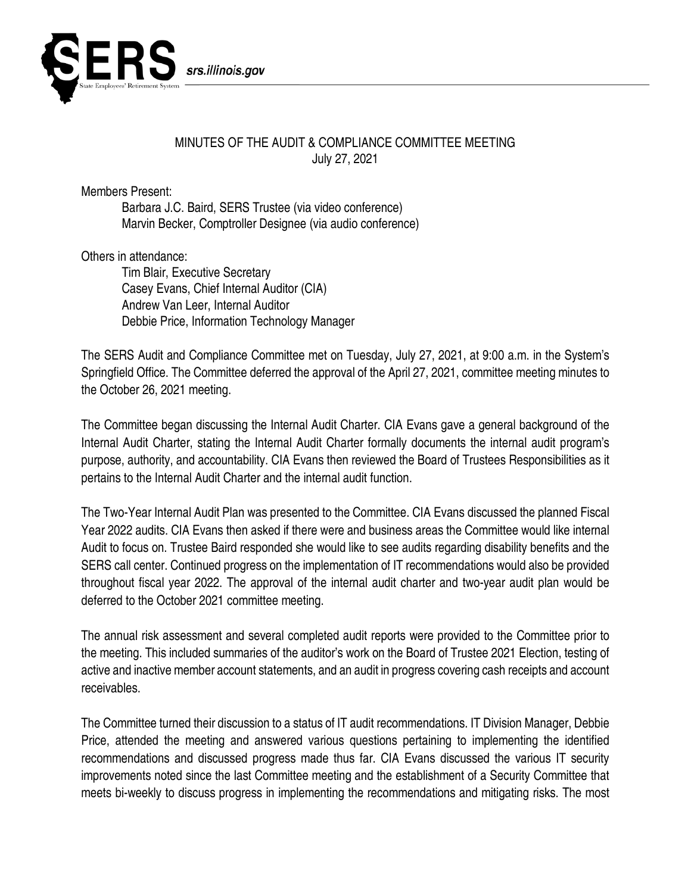

## MINUTES OF THE AUDIT & COMPLIANCE COMMITTEE MEETING July 27, 2021

Members Present:

Barbara J.C. Baird, SERS Trustee (via video conference) Marvin Becker, Comptroller Designee (via audio conference)

Others in attendance:

Tim Blair, Executive Secretary Casey Evans, Chief Internal Auditor (CIA) Andrew Van Leer, Internal Auditor Debbie Price, Information Technology Manager

The SERS Audit and Compliance Committee met on Tuesday, July 27, 2021, at 9:00 a.m. in the System's Springfield Office. The Committee deferred the approval of the April 27, 2021, committee meeting minutes to the October 26, 2021 meeting.

The Committee began discussing the Internal Audit Charter. CIA Evans gave a general background of the Internal Audit Charter, stating the Internal Audit Charter formally documents the internal audit program's purpose, authority, and accountability. CIA Evans then reviewed the Board of Trustees Responsibilities as it pertains to the Internal Audit Charter and the internal audit function.

The Two-Year Internal Audit Plan was presented to the Committee. CIA Evans discussed the planned Fiscal Year 2022 audits. CIA Evans then asked if there were and business areas the Committee would like internal Audit to focus on. Trustee Baird responded she would like to see audits regarding disability benefits and the SERS call center. Continued progress on the implementation of IT recommendations would also be provided throughout fiscal year 2022. The approval of the internal audit charter and two-year audit plan would be deferred to the October 2021 committee meeting.

The annual risk assessment and several completed audit reports were provided to the Committee prior to the meeting. This included summaries of the auditor's work on the Board of Trustee 2021 Election, testing of active and inactive member account statements, and an audit in progress covering cash receipts and account receivables.

The Committee turned their discussion to a status of IT audit recommendations. IT Division Manager, Debbie Price, attended the meeting and answered various questions pertaining to implementing the identified recommendations and discussed progress made thus far. CIA Evans discussed the various IT security improvements noted since the last Committee meeting and the establishment of a Security Committee that meets bi-weekly to discuss progress in implementing the recommendations and mitigating risks. The most